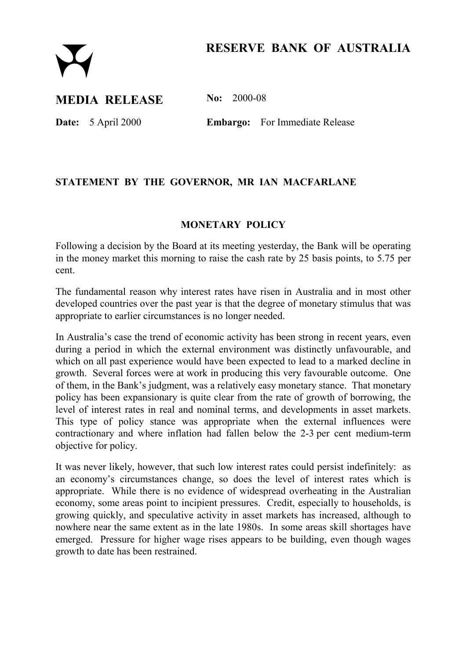# **RESERVE BANK OF AUSTRALIA**



## **MEDIA RELEASE No: 2000-08**

**Date:** 5 April 2000 **Embargo:** For Immediate Release

## **STATEMENT BY THE GOVERNOR, MR IAN MACFARLANE**

### **MONETARY POLICY**

Following a decision by the Board at its meeting yesterday, the Bank will be operating in the money market this morning to raise the cash rate by 25 basis points, to 5.75 per cent.

The fundamental reason why interest rates have risen in Australia and in most other developed countries over the past year is that the degree of monetary stimulus that was appropriate to earlier circumstances is no longer needed.

In Australia's case the trend of economic activity has been strong in recent years, even during a period in which the external environment was distinctly unfavourable, and which on all past experience would have been expected to lead to a marked decline in growth. Several forces were at work in producing this very favourable outcome. One of them, in the Bank's judgment, was a relatively easy monetary stance. That monetary policy has been expansionary is quite clear from the rate of growth of borrowing, the level of interest rates in real and nominal terms, and developments in asset markets. This type of policy stance was appropriate when the external influences were contractionary and where inflation had fallen below the 2-3 per cent medium-term objective for policy.

It was never likely, however, that such low interest rates could persist indefinitely: as an economy's circumstances change, so does the level of interest rates which is appropriate. While there is no evidence of widespread overheating in the Australian economy, some areas point to incipient pressures. Credit, especially to households, is growing quickly, and speculative activity in asset markets has increased, although to nowhere near the same extent as in the late 1980s. In some areas skill shortages have emerged. Pressure for higher wage rises appears to be building, even though wages growth to date has been restrained.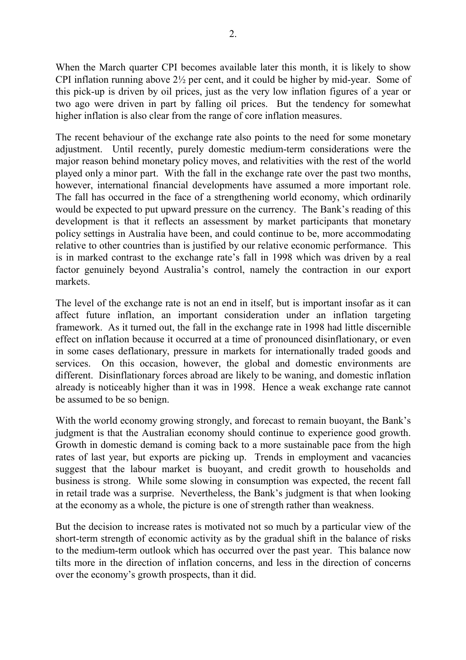When the March quarter CPI becomes available later this month, it is likely to show CPI inflation running above 2½ per cent, and it could be higher by mid-year. Some of this pick-up is driven by oil prices, just as the very low inflation figures of a year or two ago were driven in part by falling oil prices. But the tendency for somewhat higher inflation is also clear from the range of core inflation measures.

The recent behaviour of the exchange rate also points to the need for some monetary adjustment. Until recently, purely domestic medium-term considerations were the major reason behind monetary policy moves, and relativities with the rest of the world played only a minor part. With the fall in the exchange rate over the past two months, however, international financial developments have assumed a more important role. The fall has occurred in the face of a strengthening world economy, which ordinarily would be expected to put upward pressure on the currency. The Bank's reading of this development is that it reflects an assessment by market participants that monetary policy settings in Australia have been, and could continue to be, more accommodating relative to other countries than is justified by our relative economic performance. This is in marked contrast to the exchange rate's fall in 1998 which was driven by a real factor genuinely beyond Australia's control, namely the contraction in our export markets.

The level of the exchange rate is not an end in itself, but is important insofar as it can affect future inflation, an important consideration under an inflation targeting framework. As it turned out, the fall in the exchange rate in 1998 had little discernible effect on inflation because it occurred at a time of pronounced disinflationary, or even in some cases deflationary, pressure in markets for internationally traded goods and services. On this occasion, however, the global and domestic environments are different. Disinflationary forces abroad are likely to be waning, and domestic inflation already is noticeably higher than it was in 1998. Hence a weak exchange rate cannot be assumed to be so benign.

With the world economy growing strongly, and forecast to remain buoyant, the Bank's judgment is that the Australian economy should continue to experience good growth. Growth in domestic demand is coming back to a more sustainable pace from the high rates of last year, but exports are picking up. Trends in employment and vacancies suggest that the labour market is buoyant, and credit growth to households and business is strong. While some slowing in consumption was expected, the recent fall in retail trade was a surprise. Nevertheless, the Bank's judgment is that when looking at the economy as a whole, the picture is one of strength rather than weakness.

But the decision to increase rates is motivated not so much by a particular view of the short-term strength of economic activity as by the gradual shift in the balance of risks to the medium-term outlook which has occurred over the past year. This balance now tilts more in the direction of inflation concerns, and less in the direction of concerns over the economy's growth prospects, than it did.